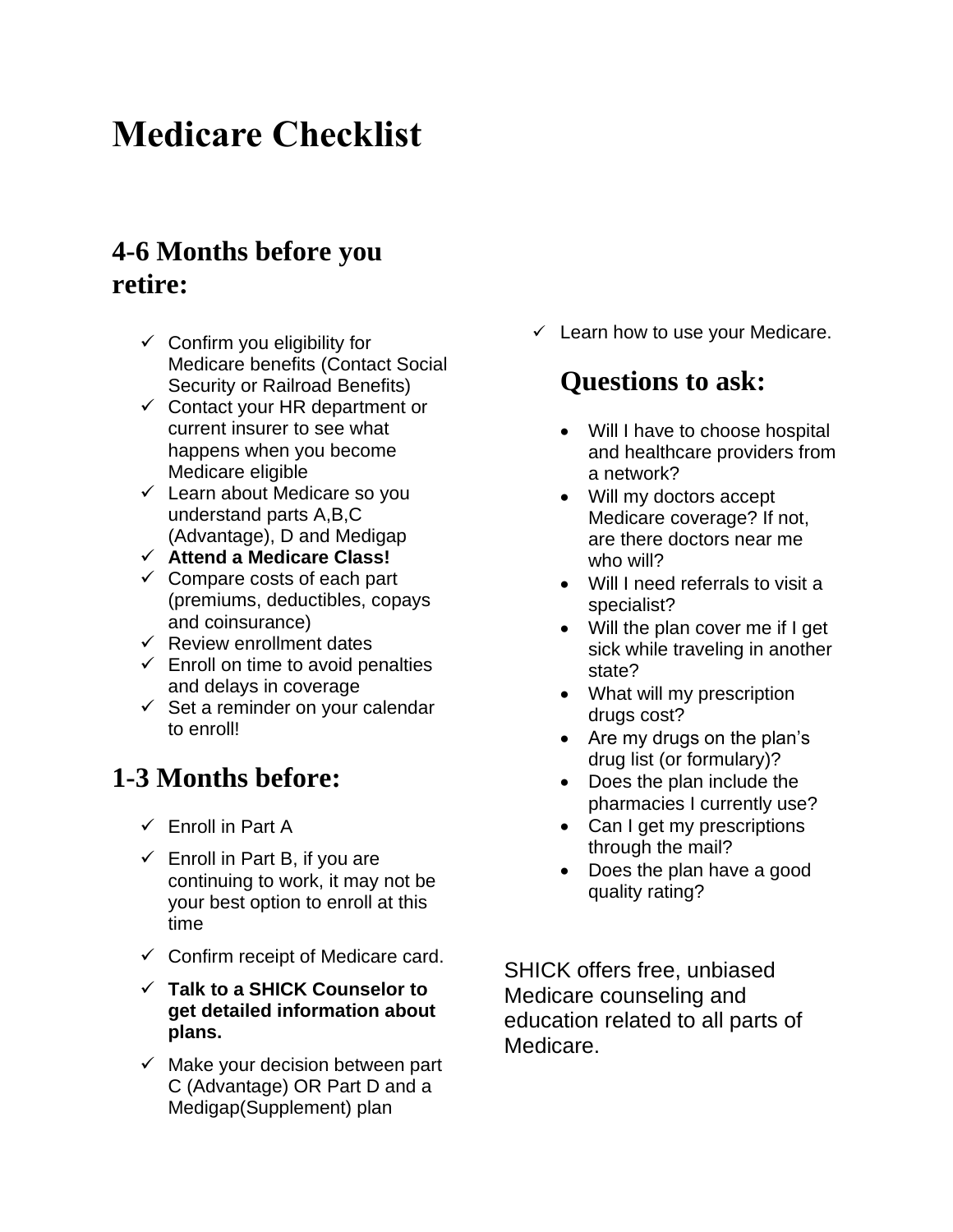# **Medicare Checklist**

## **4-6 Months before you retire:**

- $\checkmark$  Confirm you eligibility for Medicare benefits (Contact Social Security or Railroad Benefits)
- $\checkmark$  Contact your HR department or current insurer to see what happens when you become Medicare eligible
- $\checkmark$  Learn about Medicare so you understand parts A,B,C (Advantage), D and Medigap
- ✓ **Attend a Medicare Class!**
- $\checkmark$  Compare costs of each part (premiums, deductibles, copays and coinsurance)
- $\checkmark$  Review enrollment dates
- $\checkmark$  Enroll on time to avoid penalties and delays in coverage
- $\checkmark$  Set a reminder on your calendar to enroll!

### **1-3 Months before:**

- $\checkmark$  Enroll in Part A
- $\checkmark$  Enroll in Part B, if you are continuing to work, it may not be your best option to enroll at this time
- $\checkmark$  Confirm receipt of Medicare card.
- ✓ **Talk to a SHICK Counselor to get detailed information about plans.**
- $\checkmark$  Make your decision between part C (Advantage) OR Part D and a Medigap(Supplement) plan

 $\checkmark$  Learn how to use your Medicare.

# **Questions to ask:**

- Will I have to choose hospital and healthcare providers from a network?
- Will my doctors accept Medicare coverage? If not, are there doctors near me who will?
- Will I need referrals to visit a specialist?
- Will the plan cover me if I get sick while traveling in another state?
- What will my prescription drugs cost?
- Are my drugs on the plan's drug list (or formulary)?
- Does the plan include the pharmacies I currently use?
- Can I get my prescriptions through the mail?
- Does the plan have a good quality rating?

SHICK offers free, unbiased Medicare counseling and education related to all parts of Medicare.